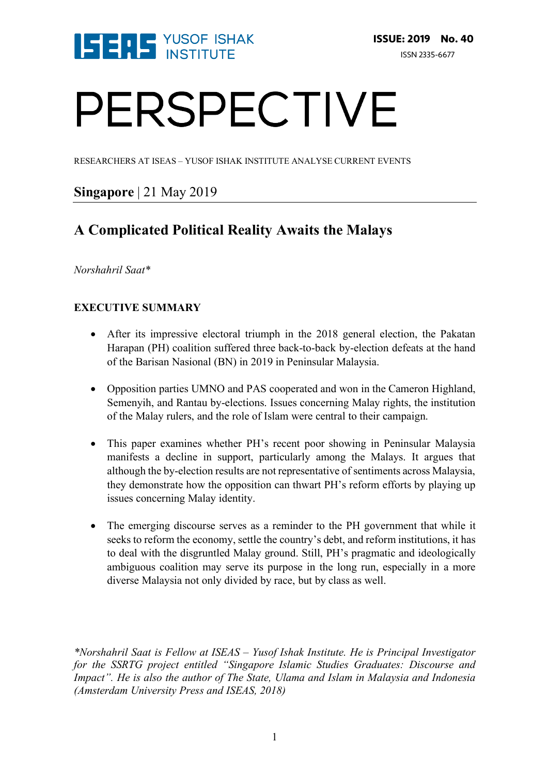

# PERSPECTIVE

RESEARCHERS AT ISEAS – YUSOF ISHAK INSTITUTE ANALYSE CURRENT EVENTS

# **Singapore** | 21 May 2019

# **A Complicated Political Reality Awaits the Malays**

## *Norshahril Saat\**

# **EXECUTIVE SUMMARY**

- After its impressive electoral triumph in the 2018 general election, the Pakatan Harapan (PH) coalition suffered three back-to-back by-election defeats at the hand of the Barisan Nasional (BN) in 2019 in Peninsular Malaysia.
- Opposition parties UMNO and PAS cooperated and won in the Cameron Highland, Semenyih, and Rantau by-elections. Issues concerning Malay rights, the institution of the Malay rulers, and the role of Islam were central to their campaign.
- This paper examines whether PH's recent poor showing in Peninsular Malaysia manifests a decline in support, particularly among the Malays. It argues that although the by-election results are not representative of sentiments across Malaysia, they demonstrate how the opposition can thwart PH's reform efforts by playing up issues concerning Malay identity.
- The emerging discourse serves as a reminder to the PH government that while it seeks to reform the economy, settle the country's debt, and reform institutions, it has to deal with the disgruntled Malay ground. Still, PH's pragmatic and ideologically ambiguous coalition may serve its purpose in the long run, especially in a more diverse Malaysia not only divided by race, but by class as well.

*\*Norshahril Saat is Fellow at ISEAS – Yusof Ishak Institute. He is Principal Investigator for the SSRTG project entitled "Singapore Islamic Studies Graduates: Discourse and Impact". He is also the author of The State, Ulama and Islam in Malaysia and Indonesia (Amsterdam University Press and ISEAS, 2018)*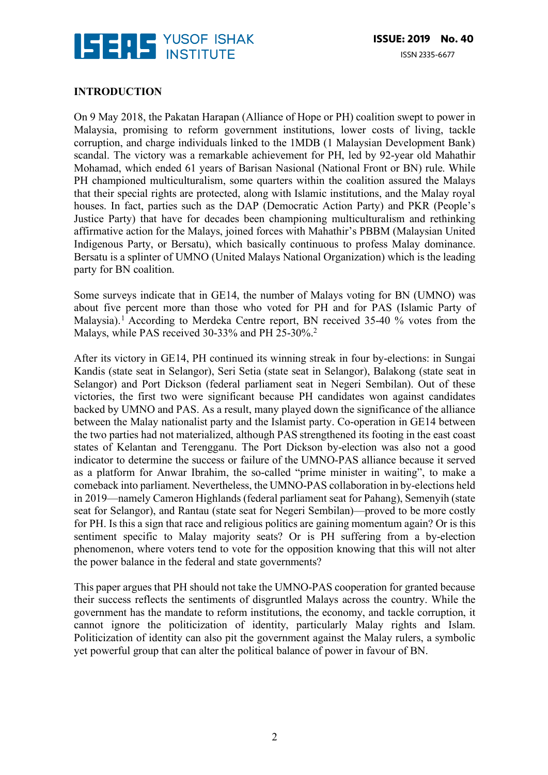

#### **INTRODUCTION**

On 9 May 2018, the Pakatan Harapan (Alliance of Hope or PH) coalition swept to power in Malaysia, promising to reform government institutions, lower costs of living, tackle corruption, and charge individuals linked to the 1MDB (1 Malaysian Development Bank) scandal. The victory was a remarkable achievement for PH, led by 92-year old Mahathir Mohamad, which ended 61 years of Barisan Nasional (National Front or BN) rule. While PH championed multiculturalism, some quarters within the coalition assured the Malays that their special rights are protected, along with Islamic institutions, and the Malay royal houses. In fact, parties such as the DAP (Democratic Action Party) and PKR (People's Justice Party) that have for decades been championing multiculturalism and rethinking affirmative action for the Malays, joined forces with Mahathir's PBBM (Malaysian United Indigenous Party, or Bersatu), which basically continuous to profess Malay dominance. Bersatu is a splinter of UMNO (United Malays National Organization) which is the leading party for BN coalition.

Some surveys indicate that in GE14, the number of Malays voting for BN (UMNO) was about five percent more than those who voted for PH and for PAS (Islamic Party of Malaysia).<sup>1</sup> According to Merdeka Centre report, BN received 35-40 % votes from the Malays, while PAS received 30-33% and PH 25-30%.<sup>2</sup>

After its victory in GE14, PH continued its winning streak in four by-elections: in Sungai Kandis (state seat in Selangor), Seri Setia (state seat in Selangor), Balakong (state seat in Selangor) and Port Dickson (federal parliament seat in Negeri Sembilan). Out of these victories, the first two were significant because PH candidates won against candidates backed by UMNO and PAS. As a result, many played down the significance of the alliance between the Malay nationalist party and the Islamist party. Co-operation in GE14 between the two parties had not materialized, although PAS strengthened its footing in the east coast states of Kelantan and Terengganu. The Port Dickson by-election was also not a good indicator to determine the success or failure of the UMNO-PAS alliance because it served as a platform for Anwar Ibrahim, the so-called "prime minister in waiting", to make a comeback into parliament. Nevertheless, the UMNO-PAS collaboration in by-elections held in 2019—namely Cameron Highlands (federal parliament seat for Pahang), Semenyih (state seat for Selangor), and Rantau (state seat for Negeri Sembilan)—proved to be more costly for PH. Is this a sign that race and religious politics are gaining momentum again? Or is this sentiment specific to Malay majority seats? Or is PH suffering from a by-election phenomenon, where voters tend to vote for the opposition knowing that this will not alter the power balance in the federal and state governments?

This paper argues that PH should not take the UMNO-PAS cooperation for granted because their success reflects the sentiments of disgruntled Malays across the country. While the government has the mandate to reform institutions, the economy, and tackle corruption, it cannot ignore the politicization of identity, particularly Malay rights and Islam. Politicization of identity can also pit the government against the Malay rulers, a symbolic yet powerful group that can alter the political balance of power in favour of BN.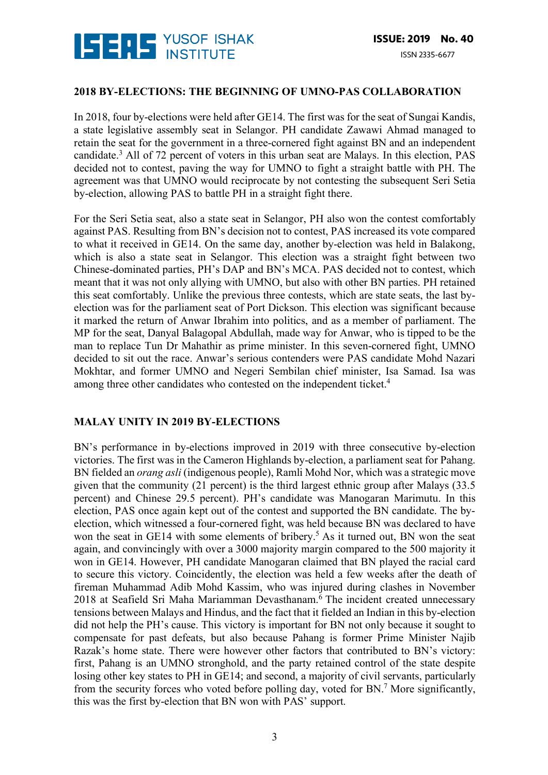

#### **2018 BY-ELECTIONS: THE BEGINNING OF UMNO-PAS COLLABORATION**

In 2018, four by-elections were held after GE14. The first was for the seat of Sungai Kandis, a state legislative assembly seat in Selangor. PH candidate Zawawi Ahmad managed to retain the seat for the government in a three-cornered fight against BN and an independent candidate.3 All of 72 percent of voters in this urban seat are Malays. In this election, PAS decided not to contest, paving the way for UMNO to fight a straight battle with PH. The agreement was that UMNO would reciprocate by not contesting the subsequent Seri Setia by-election, allowing PAS to battle PH in a straight fight there.

For the Seri Setia seat, also a state seat in Selangor, PH also won the contest comfortably against PAS. Resulting from BN's decision not to contest, PAS increased its vote compared to what it received in GE14. On the same day, another by-election was held in Balakong, which is also a state seat in Selangor. This election was a straight fight between two Chinese-dominated parties, PH's DAP and BN's MCA. PAS decided not to contest, which meant that it was not only allying with UMNO, but also with other BN parties. PH retained this seat comfortably. Unlike the previous three contests, which are state seats, the last byelection was for the parliament seat of Port Dickson. This election was significant because it marked the return of Anwar Ibrahim into politics, and as a member of parliament. The MP for the seat, Danyal Balagopal Abdullah, made way for Anwar, who is tipped to be the man to replace Tun Dr Mahathir as prime minister. In this seven-cornered fight, UMNO decided to sit out the race. Anwar's serious contenders were PAS candidate Mohd Nazari Mokhtar, and former UMNO and Negeri Sembilan chief minister, Isa Samad. Isa was among three other candidates who contested on the independent ticket.<sup>4</sup>

## **MALAY UNITY IN 2019 BY-ELECTIONS**

BN's performance in by-elections improved in 2019 with three consecutive by-election victories. The first was in the Cameron Highlands by-election, a parliament seat for Pahang. BN fielded an *orang asli* (indigenous people), Ramli Mohd Nor, which was a strategic move given that the community (21 percent) is the third largest ethnic group after Malays (33.5 percent) and Chinese 29.5 percent). PH's candidate was Manogaran Marimutu. In this election, PAS once again kept out of the contest and supported the BN candidate. The byelection, which witnessed a four-cornered fight, was held because BN was declared to have won the seat in GE14 with some elements of bribery.<sup>5</sup> As it turned out, BN won the seat again, and convincingly with over a 3000 majority margin compared to the 500 majority it won in GE14. However, PH candidate Manogaran claimed that BN played the racial card to secure this victory. Coincidently, the election was held a few weeks after the death of fireman Muhammad Adib Mohd Kassim, who was injured during clashes in November 2018 at Seafield Sri Maha Mariamman Devasthanam.<sup>6</sup> The incident created unnecessary tensions between Malays and Hindus, and the fact that it fielded an Indian in this by-election did not help the PH's cause. This victory is important for BN not only because it sought to compensate for past defeats, but also because Pahang is former Prime Minister Najib Razak's home state. There were however other factors that contributed to BN's victory: first, Pahang is an UMNO stronghold, and the party retained control of the state despite losing other key states to PH in GE14; and second, a majority of civil servants, particularly from the security forces who voted before polling day, voted for BN.7 More significantly, this was the first by-election that BN won with PAS' support.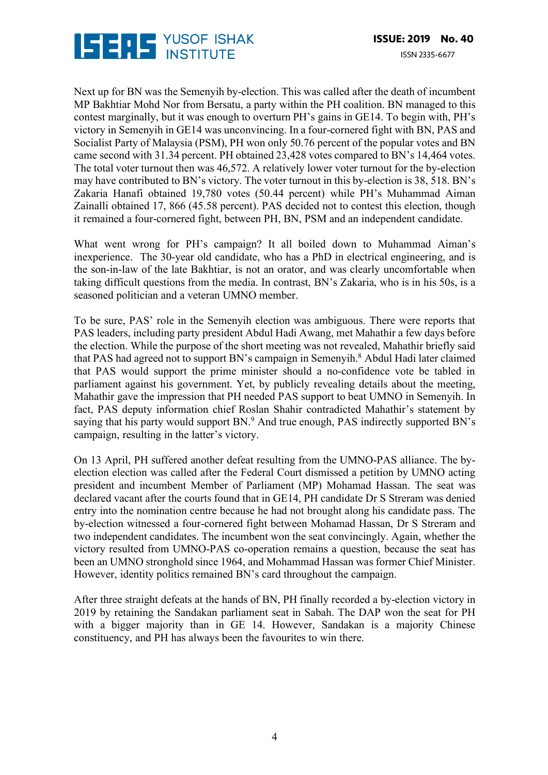

Next up for BN was the Semenyih by-election. This was called after the death of incumbent MP Bakhtiar Mohd Nor from Bersatu, a party within the PH coalition. BN managed to this contest marginally, but it was enough to overturn PH's gains in GE14. To begin with, PH's victory in Semenyih in GE14 was unconvincing. In a four-cornered fight with BN, PAS and Socialist Party of Malaysia (PSM), PH won only 50.76 percent of the popular votes and BN came second with 31.34 percent. PH obtained 23,428 votes compared to BN's 14,464 votes. The total voter turnout then was 46,572. A relatively lower voter turnout for the by-election may have contributed to BN's victory. The voter turnout in this by-election is 38, 518. BN's Zakaria Hanafi obtained 19,780 votes (50.44 percent) while PH's Muhammad Aiman Zainalli obtained 17, 866 (45.58 percent). PAS decided not to contest this election, though it remained a four-cornered fight, between PH, BN, PSM and an independent candidate.

What went wrong for PH's campaign? It all boiled down to Muhammad Aiman's inexperience. The 30-year old candidate, who has a PhD in electrical engineering, and is the son-in-law of the late Bakhtiar, is not an orator, and was clearly uncomfortable when taking difficult questions from the media. In contrast, BN's Zakaria, who is in his 50s, is a seasoned politician and a veteran UMNO member.

To be sure, PAS' role in the Semenyih election was ambiguous. There were reports that PAS leaders, including party president Abdul Hadi Awang, met Mahathir a few days before the election. While the purpose of the short meeting was not revealed, Mahathir briefly said that PAS had agreed not to support BN's campaign in Semenyih.<sup>8</sup> Abdul Hadi later claimed that PAS would support the prime minister should a no-confidence vote be tabled in parliament against his government. Yet, by publicly revealing details about the meeting, Mahathir gave the impression that PH needed PAS support to beat UMNO in Semenyih. In fact, PAS deputy information chief Roslan Shahir contradicted Mahathir's statement by saying that his party would support BN.<sup>9</sup> And true enough, PAS indirectly supported BN's campaign, resulting in the latter's victory.

On 13 April, PH suffered another defeat resulting from the UMNO-PAS alliance. The byelection election was called after the Federal Court dismissed a petition by UMNO acting president and incumbent Member of Parliament (MP) Mohamad Hassan. The seat was declared vacant after the courts found that in GE14, PH candidate Dr S Streram was denied entry into the nomination centre because he had not brought along his candidate pass. The by-election witnessed a four-cornered fight between Mohamad Hassan, Dr S Streram and two independent candidates. The incumbent won the seat convincingly. Again, whether the victory resulted from UMNO-PAS co-operation remains a question, because the seat has been an UMNO stronghold since 1964, and Mohammad Hassan was former Chief Minister. However, identity politics remained BN's card throughout the campaign.

After three straight defeats at the hands of BN, PH finally recorded a by-election victory in 2019 by retaining the Sandakan parliament seat in Sabah. The DAP won the seat for PH with a bigger majority than in GE 14. However, Sandakan is a majority Chinese constituency, and PH has always been the favourites to win there.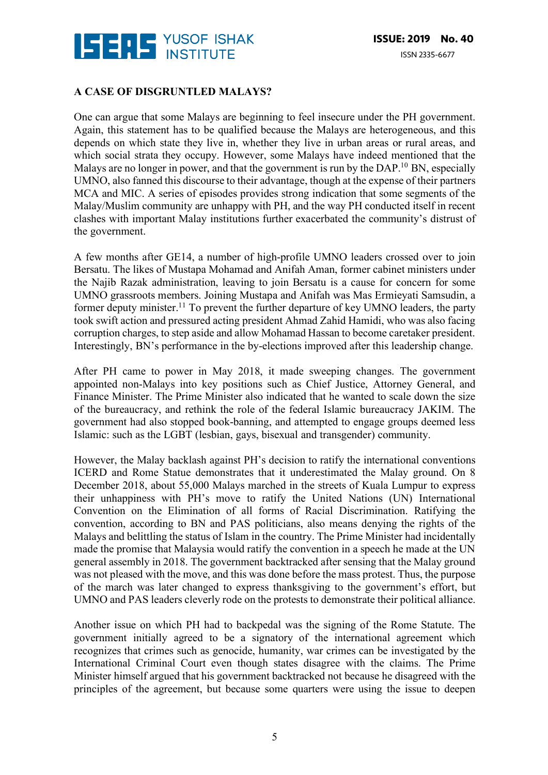

## **A CASE OF DISGRUNTLED MALAYS?**

One can argue that some Malays are beginning to feel insecure under the PH government. Again, this statement has to be qualified because the Malays are heterogeneous, and this depends on which state they live in, whether they live in urban areas or rural areas, and which social strata they occupy. However, some Malays have indeed mentioned that the Malays are no longer in power, and that the government is run by the DAP.<sup>10</sup> BN, especially UMNO, also fanned this discourse to their advantage, though at the expense of their partners MCA and MIC. A series of episodes provides strong indication that some segments of the Malay/Muslim community are unhappy with PH, and the way PH conducted itself in recent clashes with important Malay institutions further exacerbated the community's distrust of the government.

A few months after GE14, a number of high-profile UMNO leaders crossed over to join Bersatu. The likes of Mustapa Mohamad and Anifah Aman, former cabinet ministers under the Najib Razak administration, leaving to join Bersatu is a cause for concern for some UMNO grassroots members. Joining Mustapa and Anifah was Mas Ermieyati Samsudin, a former deputy minister.<sup>11</sup> To prevent the further departure of key UMNO leaders, the party took swift action and pressured acting president Ahmad Zahid Hamidi, who was also facing corruption charges, to step aside and allow Mohamad Hassan to become caretaker president. Interestingly, BN's performance in the by-elections improved after this leadership change.

After PH came to power in May 2018, it made sweeping changes. The government appointed non-Malays into key positions such as Chief Justice, Attorney General, and Finance Minister. The Prime Minister also indicated that he wanted to scale down the size of the bureaucracy, and rethink the role of the federal Islamic bureaucracy JAKIM. The government had also stopped book-banning, and attempted to engage groups deemed less Islamic: such as the LGBT (lesbian, gays, bisexual and transgender) community.

However, the Malay backlash against PH's decision to ratify the international conventions ICERD and Rome Statue demonstrates that it underestimated the Malay ground. On 8 December 2018, about 55,000 Malays marched in the streets of Kuala Lumpur to express their unhappiness with PH's move to ratify the United Nations (UN) International Convention on the Elimination of all forms of Racial Discrimination. Ratifying the convention, according to BN and PAS politicians, also means denying the rights of the Malays and belittling the status of Islam in the country. The Prime Minister had incidentally made the promise that Malaysia would ratify the convention in a speech he made at the UN general assembly in 2018. The government backtracked after sensing that the Malay ground was not pleased with the move, and this was done before the mass protest. Thus, the purpose of the march was later changed to express thanksgiving to the government's effort, but UMNO and PAS leaders cleverly rode on the protests to demonstrate their political alliance.

Another issue on which PH had to backpedal was the signing of the Rome Statute. The government initially agreed to be a signatory of the international agreement which recognizes that crimes such as genocide, humanity, war crimes can be investigated by the International Criminal Court even though states disagree with the claims. The Prime Minister himself argued that his government backtracked not because he disagreed with the principles of the agreement, but because some quarters were using the issue to deepen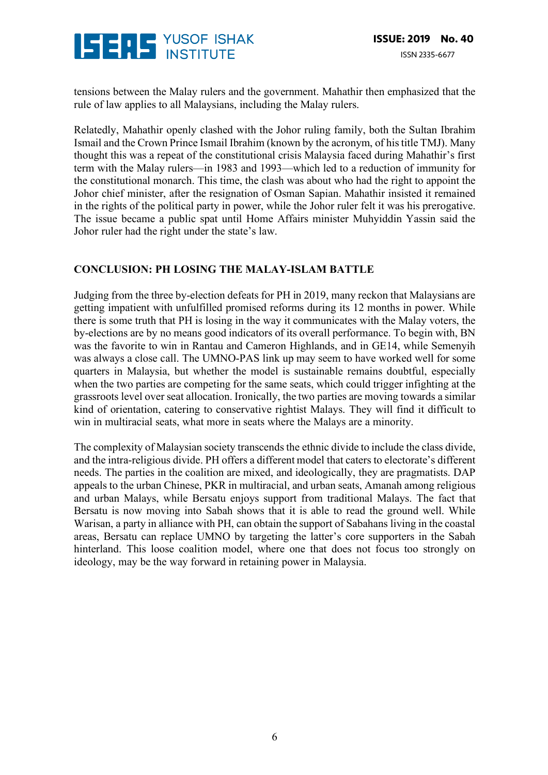

tensions between the Malay rulers and the government. Mahathir then emphasized that the rule of law applies to all Malaysians, including the Malay rulers.

Relatedly, Mahathir openly clashed with the Johor ruling family, both the Sultan Ibrahim Ismail and the Crown Prince Ismail Ibrahim (known by the acronym, of his title TMJ). Many thought this was a repeat of the constitutional crisis Malaysia faced during Mahathir's first term with the Malay rulers—in 1983 and 1993—which led to a reduction of immunity for the constitutional monarch. This time, the clash was about who had the right to appoint the Johor chief minister, after the resignation of Osman Sapian. Mahathir insisted it remained in the rights of the political party in power, while the Johor ruler felt it was his prerogative. The issue became a public spat until Home Affairs minister Muhyiddin Yassin said the Johor ruler had the right under the state's law.

# **CONCLUSION: PH LOSING THE MALAY-ISLAM BATTLE**

Judging from the three by-election defeats for PH in 2019, many reckon that Malaysians are getting impatient with unfulfilled promised reforms during its 12 months in power. While there is some truth that PH is losing in the way it communicates with the Malay voters, the by-elections are by no means good indicators of its overall performance. To begin with, BN was the favorite to win in Rantau and Cameron Highlands, and in GE14, while Semenyih was always a close call. The UMNO-PAS link up may seem to have worked well for some quarters in Malaysia, but whether the model is sustainable remains doubtful, especially when the two parties are competing for the same seats, which could trigger infighting at the grassroots level over seat allocation. Ironically, the two parties are moving towards a similar kind of orientation, catering to conservative rightist Malays. They will find it difficult to win in multiracial seats, what more in seats where the Malays are a minority.

The complexity of Malaysian society transcends the ethnic divide to include the class divide, and the intra-religious divide. PH offers a different model that caters to electorate's different needs. The parties in the coalition are mixed, and ideologically, they are pragmatists. DAP appeals to the urban Chinese, PKR in multiracial, and urban seats, Amanah among religious and urban Malays, while Bersatu enjoys support from traditional Malays. The fact that Bersatu is now moving into Sabah shows that it is able to read the ground well. While Warisan, a party in alliance with PH, can obtain the support of Sabahans living in the coastal areas, Bersatu can replace UMNO by targeting the latter's core supporters in the Sabah hinterland. This loose coalition model, where one that does not focus too strongly on ideology, may be the way forward in retaining power in Malaysia.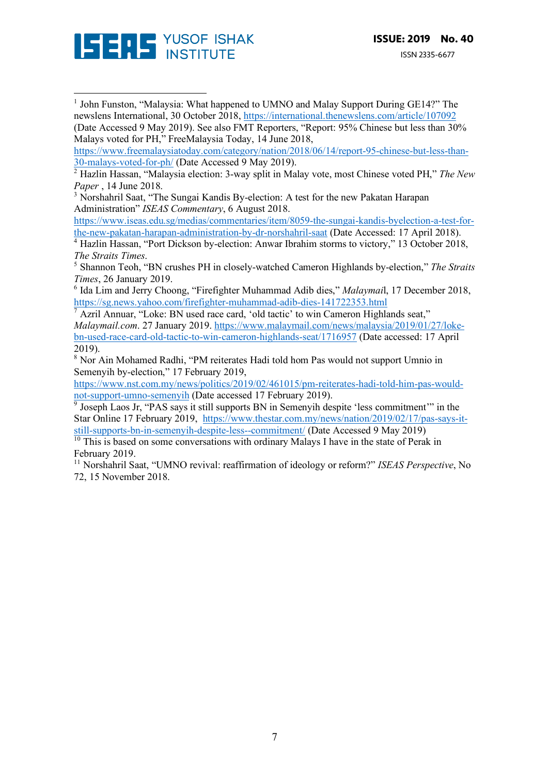

 

<sup>1</sup> John Funston, "Malaysia: What happened to UMNO and Malay Support During GE14?" The newslens International, 30 October 2018, https://international.thenewslens.com/article/107092 (Date Accessed 9 May 2019). See also FMT Reporters, "Report: 95% Chinese but less than 30% Malays voted for PH," FreeMalaysia Today, 14 June 2018,

https://www.freemalaysiatoday.com/category/nation/2018/06/14/report-95-chinese-but-less-than-30-malays-voted-for-ph/ (Date Accessed 9 May 2019).

<sup>3</sup> Norshahril Saat, "The Sungai Kandis By-election: A test for the new Pakatan Harapan Administration" *ISEAS Commentary*, 6 August 2018.

https://www.iseas.edu.sg/medias/commentaries/item/8059-the-sungai-kandis-byelection-a-test-forthe-new-pakatan-harapan-administration-by-dr-norshahril-saat (Date Accessed: 17 April 2018).

<sup>4</sup> Hazlin Hassan, "Port Dickson by-election: Anwar Ibrahim storms to victory," 13 October 2018, *The Straits Times*.

<sup>5</sup> Shannon Teoh, "BN crushes PH in closely-watched Cameron Highlands by-election," *The Straits Times*, 26 January 2019.

<sup>6</sup> Ida Lim and Jerry Choong, "Firefighter Muhammad Adib dies," *Malaymai*l, 17 December 2018, https://sg.news.yahoo.com/firefighter-muhammad-adib-dies-141722353.html

<sup>7</sup> Azril Annuar, "Loke: BN used race card, 'old tactic' to win Cameron Highlands seat," *Malaymail.com*. 27 January 2019. https://www.malaymail.com/news/malaysia/2019/01/27/lokebn-used-race-card-old-tactic-to-win-cameron-highlands-seat/1716957 (Date accessed: 17 April 2019).

<sup>8</sup> Nor Ain Mohamed Radhi, "PM reiterates Hadi told hom Pas would not support Umnio in Semenyih by-election," 17 February 2019,

https://www.nst.com.my/news/politics/2019/02/461015/pm-reiterates-hadi-told-him-pas-wouldnot-support-umno-semenyih (Date accessed 17 February 2019).

<sup>9</sup> Joseph Laos Jr, "PAS says it still supports BN in Semenyih despite 'less commitment'" in the Star Online 17 February 2019, https://www.thestar.com.my/news/nation/2019/02/17/pas-says-itstill-supports-bn-in-semenyih-despite-less--commitment/ (Date Accessed 9 May 2019)

 $\frac{10}{10}$  This is based on some conversations with ordinary Malays I have in the state of Perak in February 2019.

<sup>11</sup> Norshahril Saat, "UMNO revival: reaffirmation of ideology or reform?" *ISEAS Perspective*, No 72, 15 November 2018.

<sup>2</sup> Hazlin Hassan, "Malaysia election: 3-way split in Malay vote, most Chinese voted PH," *The New Paper* , 14 June 2018.